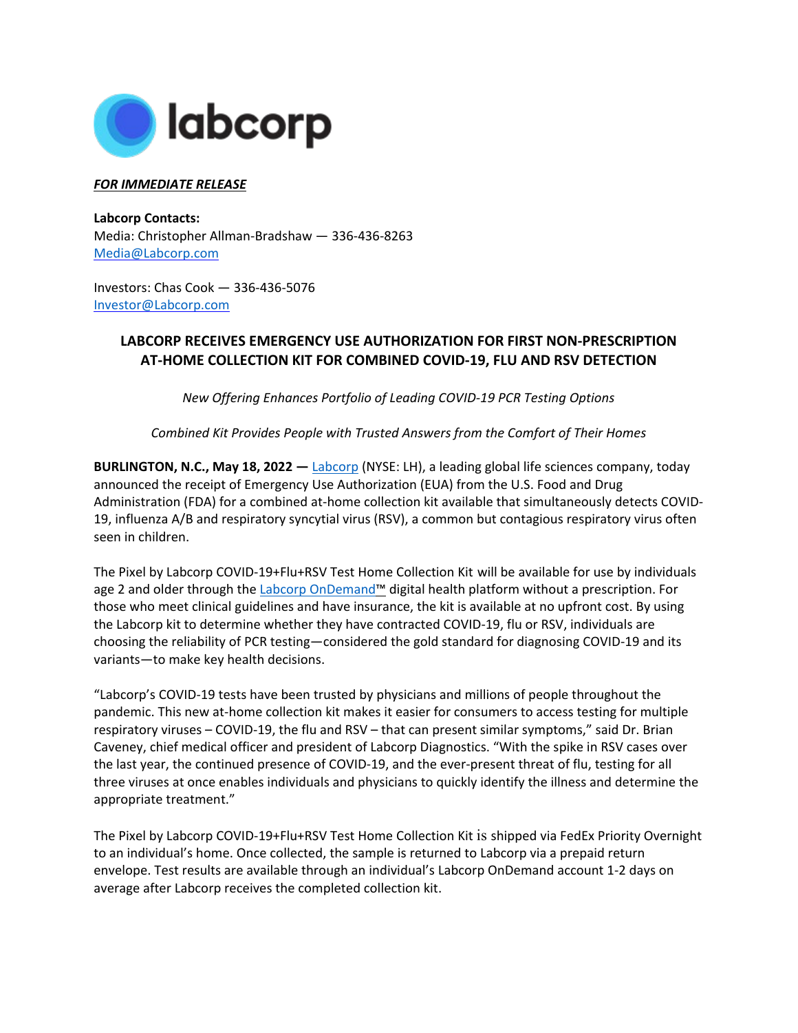

## *FOR IMMEDIATE RELEASE*

**Labcorp Contacts:**  Media: Christopher Allman-Bradshaw — 336-436-8263 [Media@Labcorp.com](mailto:Media@Labcorp.com)

Investors: Chas Cook — 336-436-5076 [Investor@Labcorp.com](mailto:Investor@Labcorp.com) 

## **LABCORP RECEIVES EMERGENCY USE AUTHORIZATION FOR FIRST NON-PRESCRIPTION AT-HOME COLLECTION KIT FOR COMBINED COVID-19, FLU AND RSV DETECTION**

*New Offering Enhances Portfolio of Leading COVID-19 PCR Testing Options*

*Combined Kit Provides People with Trusted Answers from the Comfort of Their Homes*

**BURLINGTON, N.C., May 18, 2022 —** [Labcorp](http://www.labcorp.com/) (NYSE: LH), a leading global life sciences company, today announced the receipt of Emergency Use Authorization (EUA) from the U.S. Food and Drug Administration (FDA) for a combined at-home collection kit available that simultaneously detects COVID-19, influenza A/B and respiratory syncytial virus (RSV), a common but contagious respiratory virus often seen in children.

The Pixel by Labcorp COVID-19+Flu+RSV Test Home Collection Kit will be available for use by individuals age 2 and older through the [Labcorp OnDemand™](https://www.ondemand.labcorp.com/) digital health platform without a prescription. For those who meet clinical guidelines and have insurance, the kit is available at no upfront cost. By using the Labcorp kit to determine whether they have contracted COVID-19, flu or RSV, individuals are choosing the reliability of PCR testing—considered the gold standard for diagnosing COVID-19 and its variants—to make key health decisions.

"Labcorp's COVID-19 tests have been trusted by physicians and millions of people throughout the pandemic. This new at-home collection kit makes it easier for consumers to access testing for multiple respiratory viruses – COVID-19, the flu and RSV – that can present similar symptoms," said Dr. Brian Caveney, chief medical officer and president of Labcorp Diagnostics. "With the spike in RSV cases over the last year, the continued presence of COVID-19, and the ever-present threat of flu, testing for all three viruses at once enables individuals and physicians to quickly identify the illness and determine the appropriate treatment."

The Pixel by Labcorp COVID-19+Flu+RSV Test Home Collection Kit is shipped via FedEx Priority Overnight to an individual's home. Once collected, the sample is returned to Labcorp via a prepaid return envelope. Test results are available through an individual's Labcorp OnDemand account 1-2 days on average after Labcorp receives the completed collection kit.